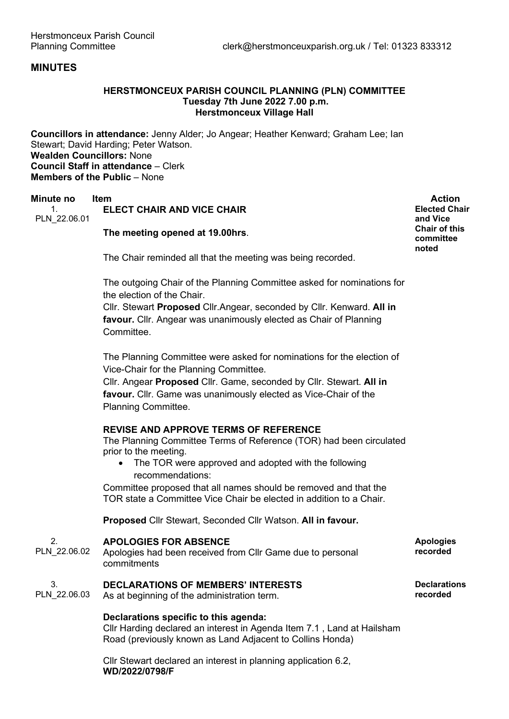# **MINUTES**

# **HERSTMONCEUX PARISH COUNCIL PLANNING (PLN) COMMITTEE Tuesday 7th June 2022 7.00 p.m. Herstmonceux Village Hall**

**Councillors in attendance:** Jenny Alder; Jo Angear; Heather Kenward; Graham Lee; Ian Stewart; David Harding; Peter Watson. **Wealden Councillors:** None **Council Staff in attendance** – Clerk **Members of the Public** – None

### **Minute no Item Action** 1. **ELECT CHAIR AND VICE CHAIR**

PLN\_22.06.01

**The meeting opened at 19.00hrs**.

**Elected Chair and Vice Chair of this committee noted**

The Chair reminded all that the meeting was being recorded.

The outgoing Chair of the Planning Committee asked for nominations for the election of the Chair.

Cllr. Stewart **Proposed** Cllr.Angear, seconded by Cllr. Kenward. **All in favour.** Cllr. Angear was unanimously elected as Chair of Planning Committee.

The Planning Committee were asked for nominations for the election of Vice-Chair for the Planning Committee.

Cllr. Angear **Proposed** Cllr. Game, seconded by Cllr. Stewart. **All in favour.** Cllr. Game was unanimously elected as Vice-Chair of the Planning Committee.

# **REVISE AND APPROVE TERMS OF REFERENCE**

The Planning Committee Terms of Reference (TOR) had been circulated prior to the meeting.

• The TOR were approved and adopted with the following recommendations:

Committee proposed that all names should be removed and that the TOR state a Committee Vice Chair be elected in addition to a Chair.

**Proposed** Cllr Stewart, Seconded Cllr Watson. **All in favour.**

| PLN 22.06.02 | <b>APOLOGIES FOR ABSENCE</b><br>Apologies had been received from CIIr Game due to personal<br>commitments | <b>Apologies</b><br>recorded |
|--------------|-----------------------------------------------------------------------------------------------------------|------------------------------|
| 3.           | <b>DECLARATIONS OF MEMBERS' INTERESTS</b>                                                                 | <b>Declarations</b>          |
| PLN 22.06.03 | As at beginning of the administration term.                                                               | recorded                     |

# **Declarations specific to this agenda:**

Cllr Harding declared an interest in Agenda Item 7.1 , Land at Hailsham Road (previously known as Land Adjacent to Collins Honda)

Cllr Stewart declared an interest in planning application 6.2, **WD/2022/0798/F**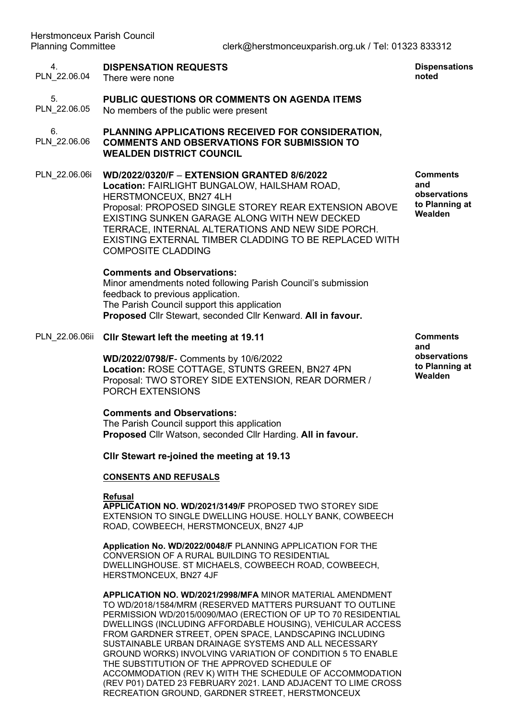#### 4. **DISPENSATION REQUESTS**

PLN\_22.06.04 There were none

#### 5. PLN\_22.06.05 **PUBLIC QUESTIONS OR COMMENTS ON AGENDA ITEMS**  No members of the public were present

6. PLN\_22.06.06 **PLANNING APPLICATIONS RECEIVED FOR CONSIDERATION, COMMENTS AND OBSERVATIONS FOR SUBMISSION TO WEALDEN DISTRICT COUNCIL**

PLN\_22.06.06i **WD/2022/0320/F** – **EXTENSION GRANTED 8/6/2022 Location:** FAIRLIGHT BUNGALOW, HAILSHAM ROAD, HERSTMONCEUX, BN27 4LH Proposal: PROPOSED SINGLE STOREY REAR EXTENSION ABOVE EXISTING SUNKEN GARAGE ALONG WITH NEW DECKED TERRACE, INTERNAL ALTERATIONS AND NEW SIDE PORCH. EXISTING EXTERNAL TIMBER CLADDING TO BE REPLACED WITH COMPOSITE CLADDING

### **Comments and Observations:**

Minor amendments noted following Parish Council's submission feedback to previous application. The Parish Council support this application **Proposed** Cllr Stewart, seconded Cllr Kenward. **All in favour.**

### PLN\_22.06.06ii **Cllr Stewart left the meeting at 19.11**

**WD/2022/0798/F**- Comments by 10/6/2022 **Location:** ROSE COTTAGE, STUNTS GREEN, BN27 4PN Proposal: TWO STOREY SIDE EXTENSION, REAR DORMER / PORCH EXTENSIONS

### **Comments and Observations:**

The Parish Council support this application **Proposed** Cllr Watson, seconded Cllr Harding. **All in favour.**

### **Cllr Stewart re-joined the meeting at 19.13**

## **CONSENTS AND REFUSALS**

### **Refusal**

**APPLICATION NO. WD/2021/3149/F** PROPOSED TWO STOREY SIDE EXTENSION TO SINGLE DWELLING HOUSE. HOLLY BANK, COWBEECH ROAD, COWBEECH, HERSTMONCEUX, BN27 4JP

**Application No. WD/2022/0048/F** PLANNING APPLICATION FOR THE CONVERSION OF A RURAL BUILDING TO RESIDENTIAL DWELLINGHOUSE. ST MICHAELS, COWBEECH ROAD, COWBEECH, HERSTMONCEUX, BN27 4JF

**APPLICATION NO. WD/2021/2998/MFA** MINOR MATERIAL AMENDMENT TO WD/2018/1584/MRM (RESERVED MATTERS PURSUANT TO OUTLINE PERMISSION WD/2015/0090/MAO (ERECTION OF UP TO 70 RESIDENTIAL DWELLINGS (INCLUDING AFFORDABLE HOUSING), VEHICULAR ACCESS FROM GARDNER STREET, OPEN SPACE, LANDSCAPING INCLUDING SUSTAINABLE URBAN DRAINAGE SYSTEMS AND ALL NECESSARY GROUND WORKS) INVOLVING VARIATION OF CONDITION 5 TO ENABLE THE SUBSTITUTION OF THE APPROVED SCHEDULE OF ACCOMMODATION (REV K) WITH THE SCHEDULE OF ACCOMMODATION (REV P01) DATED 23 FEBRUARY 2021. LAND ADJACENT TO LIME CROSS RECREATION GROUND, GARDNER STREET, HERSTMONCEUX

**Comments and observations to Planning at Wealden**

**Dispensations noted**

**Comments and observations to Planning at Wealden**